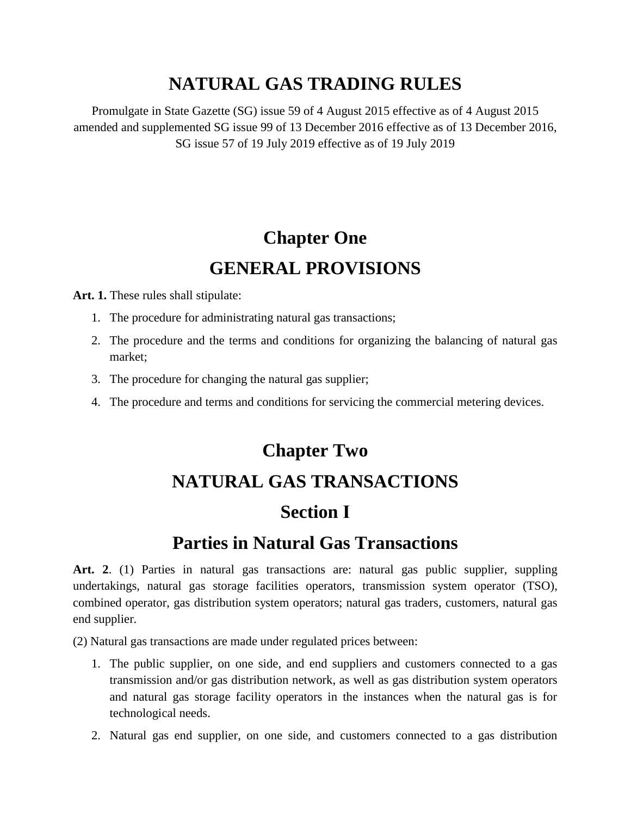### **NATURAL GAS TRADING RULES**

Promulgate in State Gazette (SG) issue 59 of 4 August 2015 effective as of 4 August 2015 amended and supplemented SG issue 99 of 13 December 2016 effective as of 13 December 2016, SG issue 57 of 19 July 2019 effective as of 19 July 2019

# **Chapter One GENERAL PROVISIONS**

Art. 1. These rules shall stipulate:

- 1. The procedure for administrating natural gas transactions;
- 2. The procedure and the terms and conditions for organizing the balancing of natural gas market;
- 3. The procedure for changing the natural gas supplier;
- 4. The procedure and terms and conditions for servicing the commercial metering devices.

# **Chapter Two NATURAL GAS TRANSACTIONS Section І**

### **Parties in Natural Gas Transactions**

Art. 2. (1) Parties in natural gas transactions are: natural gas public supplier, suppling undertakings, natural gas storage facilities operators, transmission system operator (TSO), combined operator, gas distribution system operators; natural gas traders, customers, natural gas end supplier.

(2) Natural gas transactions are made under regulated prices between:

- 1. The public supplier, on one side, and end suppliers and customers connected to a gas transmission and/or gas distribution network, as well as gas distribution system operators and natural gas storage facility operators in the instances when the natural gas is for technological needs.
- 2. Natural gas end supplier, on one side, and customers connected to a gas distribution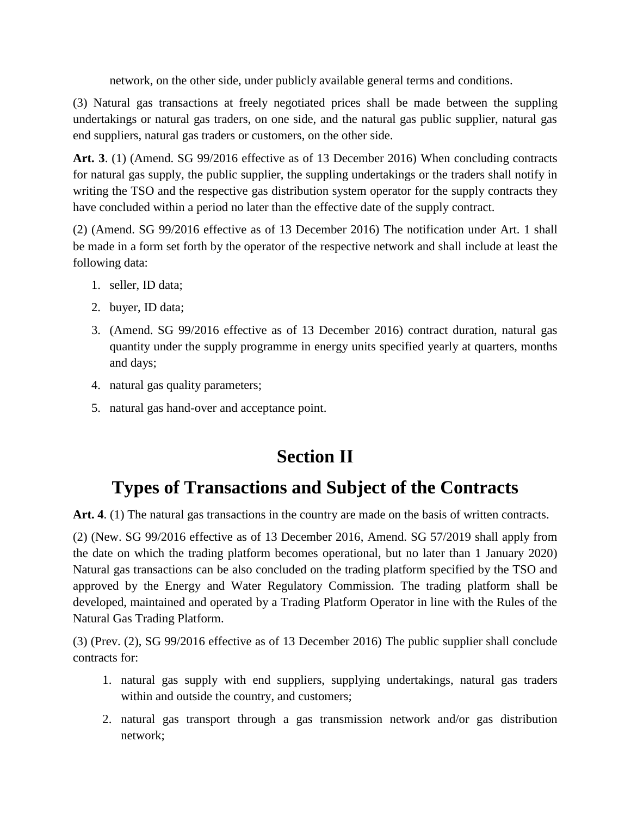network, on the other side, under publicly available general terms and conditions.

(3) Natural gas transactions at freely negotiated prices shall be made between the suppling undertakings or natural gas traders, on one side, and the natural gas public supplier, natural gas end suppliers, natural gas traders or customers, on the other side.

**Art. 3**. (1) (Amend. SG 99/2016 effective as of 13 December 2016) When concluding contracts for natural gas supply, the public supplier, the suppling undertakings or the traders shall notify in writing the TSO and the respective gas distribution system operator for the supply contracts they have concluded within a period no later than the effective date of the supply contract.

(2) (Amend. SG 99/2016 effective as of 13 December 2016) The notification under Art. 1 shall be made in a form set forth by the operator of the respective network and shall include at least the following data:

- 1. seller, ID data;
- 2. buyer, ID data;
- 3. (Amend. SG 99/2016 effective as of 13 December 2016) contract duration, natural gas quantity under the supply programme in energy units specified yearly at quarters, months and days;
- 4. natural gas quality parameters;
- 5. natural gas hand-over and acceptance point.

# **Section ІІ**

### **Types of Transactions and Subject of the Contracts**

Art. 4. (1) The natural gas transactions in the country are made on the basis of written contracts.

(2) (New. SG 99/2016 effective as of 13 December 2016, Amend. SG 57/2019 shall apply from the date on which the trading platform becomes operational, but no later than 1 January 2020) Natural gas transactions can be also concluded on the trading platform specified by the TSO and approved by the Energy and Water Regulatory Commission. The trading platform shall be developed, maintained and operated by a Trading Platform Operator in line with the Rules of the Natural Gas Trading Platform.

(3) (Prev. (2), SG 99/2016 effective as of 13 December 2016) The public supplier shall conclude contracts for:

- 1. natural gas supply with end suppliers, supplying undertakings, natural gas traders within and outside the country, and customers;
- 2. natural gas transport through a gas transmission network and/or gas distribution network;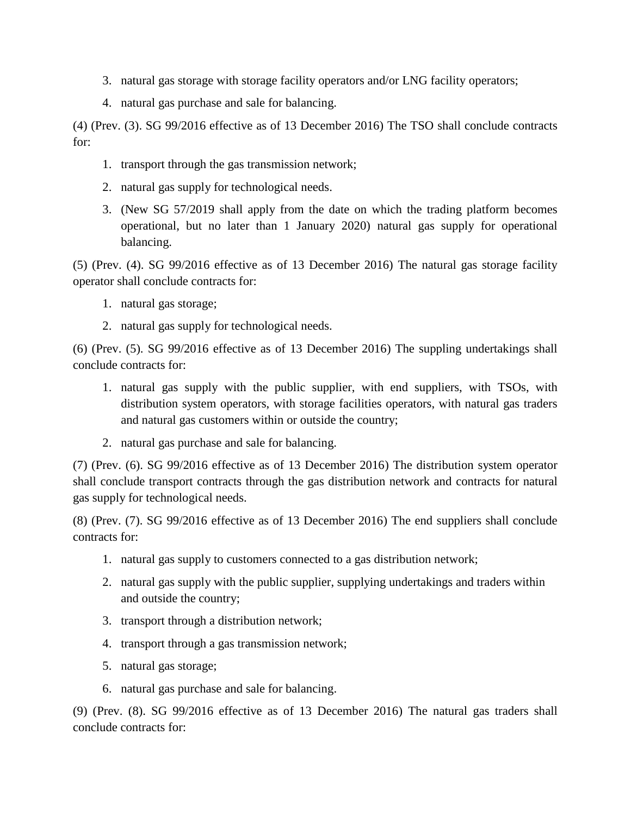- 3. natural gas storage with storage facility operators and/or LNG facility operators;
- 4. natural gas purchase and sale for balancing.

(4) (Prev. (3). SG 99/2016 effective as of 13 December 2016) The TSO shall conclude contracts for:

- 1. transport through the gas transmission network;
- 2. natural gas supply for technological needs.
- 3. (New SG 57/2019 shall apply from the date on which the trading platform becomes operational, but no later than 1 January 2020) natural gas supply for operational balancing.

(5) (Prev. (4). SG 99/2016 effective as of 13 December 2016) The natural gas storage facility operator shall conclude contracts for:

- 1. natural gas storage;
- 2. natural gas supply for technological needs.

(6) (Prev. (5). SG 99/2016 effective as of 13 December 2016) The suppling undertakings shall conclude contracts for:

- 1. natural gas supply with the public supplier, with end suppliers, with TSOs, with distribution system operators, with storage facilities operators, with natural gas traders and natural gas customers within or outside the country;
- 2. natural gas purchase and sale for balancing.

(7) (Prev. (6). SG 99/2016 effective as of 13 December 2016) The distribution system operator shall conclude transport contracts through the gas distribution network and contracts for natural gas supply for technological needs.

(8) (Prev. (7). SG 99/2016 effective as of 13 December 2016) The end suppliers shall conclude contracts for:

- 1. natural gas supply to customers connected to a gas distribution network;
- 2. natural gas supply with the public supplier, supplying undertakings and traders within and outside the country;
- 3. transport through a distribution network;
- 4. transport through a gas transmission network;
- 5. natural gas storage;
- 6. natural gas purchase and sale for balancing.

(9) (Prev. (8). SG 99/2016 effective as of 13 December 2016) The natural gas traders shall conclude contracts for: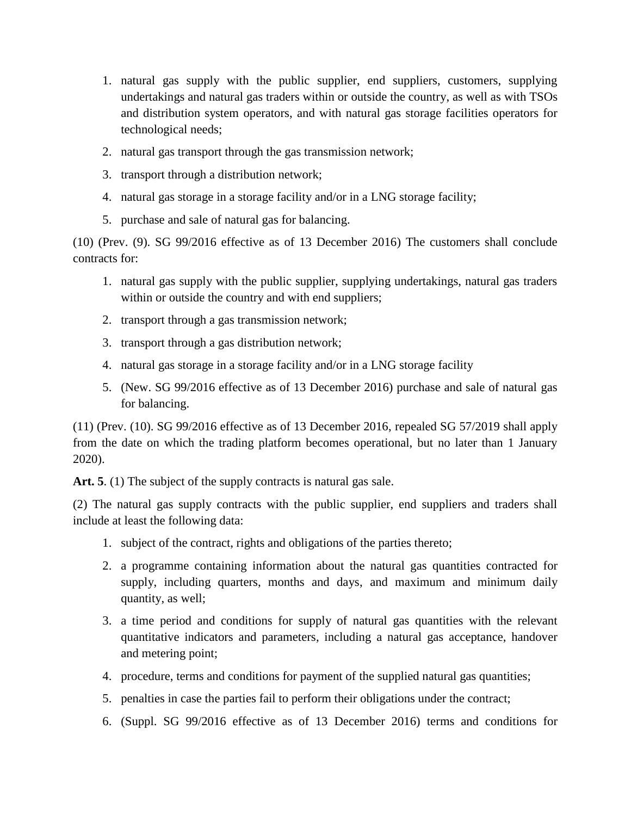- 1. natural gas supply with the public supplier, end suppliers, customers, supplying undertakings and natural gas traders within or outside the country, as well as with TSOs and distribution system operators, and with natural gas storage facilities operators for technological needs;
- 2. natural gas transport through the gas transmission network;
- 3. transport through a distribution network;
- 4. natural gas storage in a storage facility and/or in a LNG storage facility;
- 5. purchase and sale of natural gas for balancing.

(10) (Prev. (9). SG 99/2016 effective as of 13 December 2016) The customers shall conclude contracts for:

- 1. natural gas supply with the public supplier, supplying undertakings, natural gas traders within or outside the country and with end suppliers;
- 2. transport through a gas transmission network;
- 3. transport through a gas distribution network;
- 4. natural gas storage in a storage facility and/or in a LNG storage facility
- 5. (New. SG 99/2016 effective as of 13 December 2016) purchase and sale of natural gas for balancing.

(11) (Prev. (10). SG 99/2016 effective as of 13 December 2016, repealed SG 57/2019 shall apply from the date on which the trading platform becomes operational, but no later than 1 January 2020).

Art. 5. (1) The subject of the supply contracts is natural gas sale.

(2) The natural gas supply contracts with the public supplier, end suppliers and traders shall include at least the following data:

- 1. subject of the contract, rights and obligations of the parties thereto;
- 2. a programme containing information about the natural gas quantities contracted for supply, including quarters, months and days, and maximum and minimum daily quantity, as well;
- 3. a time period and conditions for supply of natural gas quantities with the relevant quantitative indicators and parameters, including a natural gas acceptance, handover and metering point;
- 4. procedure, terms and conditions for payment of the supplied natural gas quantities;
- 5. penalties in case the parties fail to perform their obligations under the contract;
- 6. (Suppl. SG 99/2016 effective as of 13 December 2016) terms and conditions for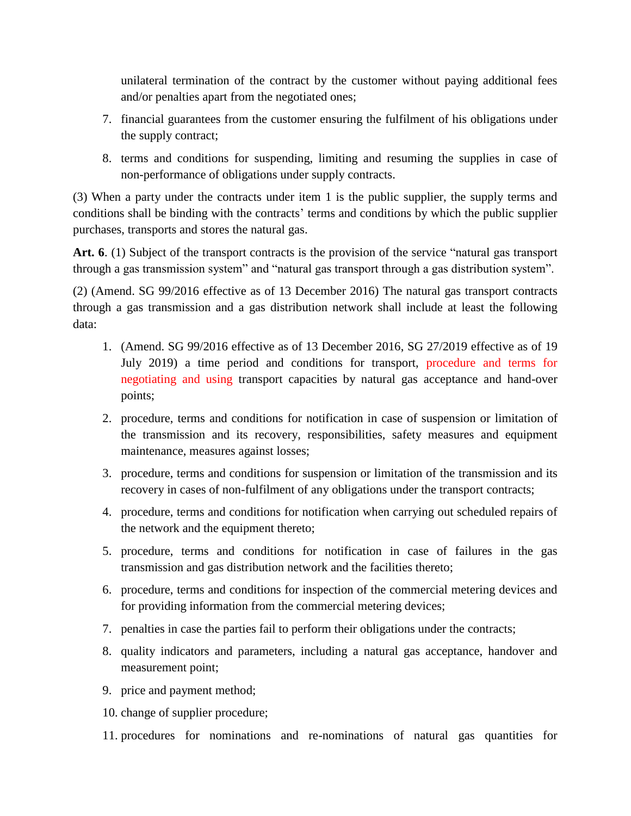unilateral termination of the contract by the customer without paying additional fees and/or penalties apart from the negotiated ones;

- 7. financial guarantees from the customer ensuring the fulfilment of his obligations under the supply contract;
- 8. terms and conditions for suspending, limiting and resuming the supplies in case of non-performance of obligations under supply contracts.

(3) When a party under the contracts under item 1 is the public supplier, the supply terms and conditions shall be binding with the contracts' terms and conditions by which the public supplier purchases, transports and stores the natural gas.

**Art. 6**. (1) Subject of the transport contracts is the provision of the service "natural gas transport through a gas transmission system" and "natural gas transport through a gas distribution system".

(2) (Amend. SG 99/2016 effective as of 13 December 2016) The natural gas transport contracts through a gas transmission and a gas distribution network shall include at least the following data:

- 1. (Amend. SG 99/2016 effective as of 13 December 2016, SG 27/2019 effective as of 19 July 2019) a time period and conditions for transport, procedure and terms for negotiating and using transport capacities by natural gas acceptance and hand-over points;
- 2. procedure, terms and conditions for notification in case of suspension or limitation of the transmission and its recovery, responsibilities, safety measures and equipment maintenance, measures against losses;
- 3. procedure, terms and conditions for suspension or limitation of the transmission and its recovery in cases of non-fulfilment of any obligations under the transport contracts;
- 4. procedure, terms and conditions for notification when carrying out scheduled repairs of the network and the equipment thereto;
- 5. procedure, terms and conditions for notification in case of failures in the gas transmission and gas distribution network and the facilities thereto;
- 6. procedure, terms and conditions for inspection of the commercial metering devices and for providing information from the commercial metering devices;
- 7. penalties in case the parties fail to perform their obligations under the contracts;
- 8. quality indicators and parameters, including a natural gas acceptance, handover and measurement point;
- 9. price and payment method;
- 10. change of supplier procedure;
- 11. procedures for nominations and re-nominations of natural gas quantities for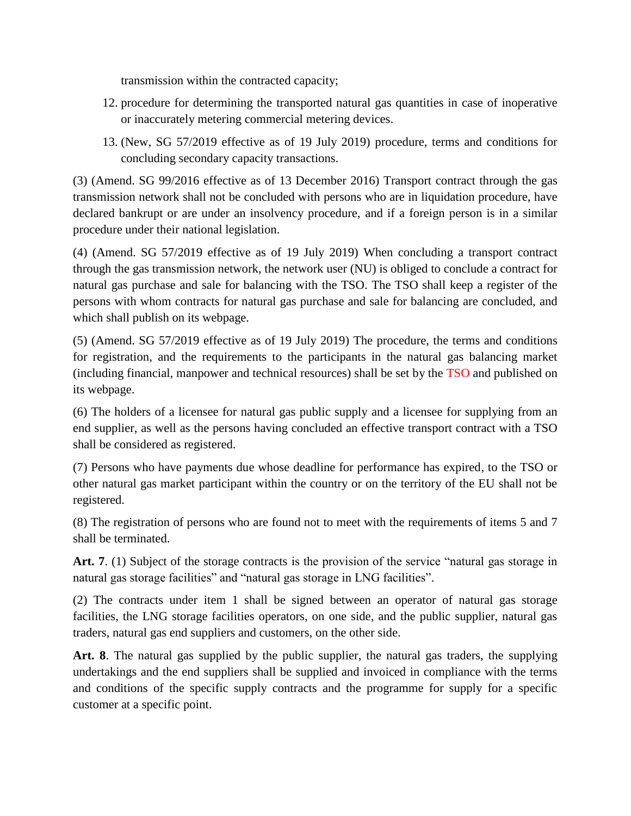transmission within the contracted capacity;

- 12. procedure for determining the transported natural gas quantities in case of inoperative or inaccurately metering commercial metering devices.
- 13. (New, SG 57/2019 effective as of 19 July 2019) procedure, terms and conditions for concluding secondary capacity transactions.

(3) (Amend. SG 99/2016 effective as of 13 December 2016) Transport contract through the gas transmission network shall not be concluded with persons who are in liquidation procedure, have declared bankrupt or are under an insolvency procedure, and if a foreign person is in a similar procedure under their national legislation.

(4) (Amend. SG 57/2019 effective as of 19 July 2019) When concluding a transport contract through the gas transmission network, the network user (NU) is obliged to conclude a contract for natural gas purchase and sale for balancing with the TSO. The TSO shall keep a register of the persons with whom contracts for natural gas purchase and sale for balancing are concluded, and which shall publish on its webpage.

(5) (Amend. SG 57/2019 effective as of 19 July 2019) The procedure, the terms and conditions for registration, and the requirements to the participants in the natural gas balancing market (including financial, manpower and technical resources) shall be set by the TSO and published on its webpage.

(6) The holders of a licensee for natural gas public supply and a licensee for supplying from an end supplier, as well as the persons having concluded an effective transport contract with a TSO shall be considered as registered.

(7) Persons who have payments due whose deadline for performance has expired, to the TSO or other natural gas market participant within the country or on the territory of the EU shall not be registered.

(8) The registration of persons who are found not to meet with the requirements of items 5 and 7 shall be terminated.

**Art. 7**. (1) Subject of the storage contracts is the provision of the service "natural gas storage in natural gas storage facilities" and "natural gas storage in LNG facilities".

(2) The contracts under item 1 shall be signed between an operator of natural gas storage facilities, the LNG storage facilities operators, on one side, and the public supplier, natural gas traders, natural gas end suppliers and customers, on the other side.

**Art. 8**. The natural gas supplied by the public supplier, the natural gas traders, the supplying undertakings and the end suppliers shall be supplied and invoiced in compliance with the terms and conditions of the specific supply contracts and the programme for supply for a specific customer at a specific point.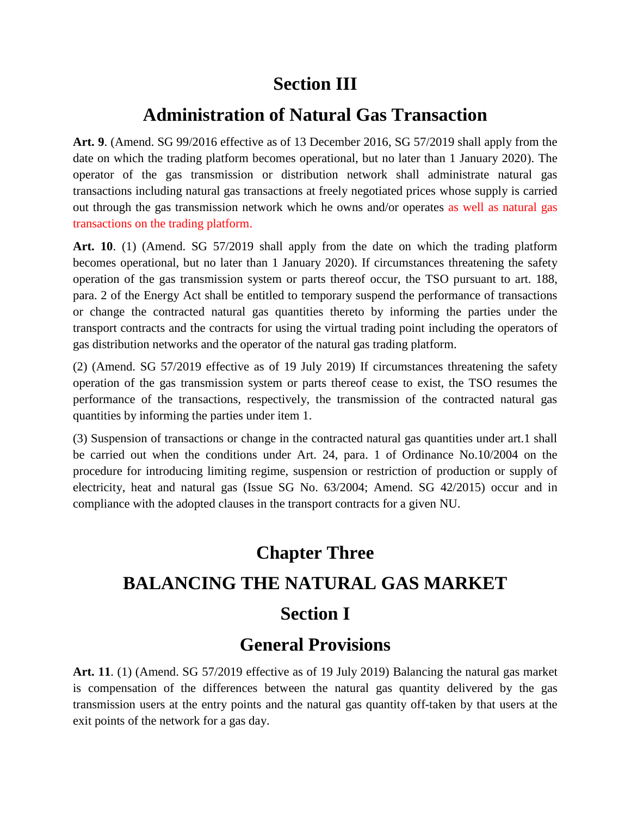### **Section III**

### **Administration of Natural Gas Transaction**

**Art. 9**. (Amend. SG 99/2016 effective as of 13 December 2016, SG 57/2019 shall apply from the date on which the trading platform becomes operational, but no later than 1 January 2020). The operator of the gas transmission or distribution network shall administrate natural gas transactions including natural gas transactions at freely negotiated prices whose supply is carried out through the gas transmission network which he owns and/or operates as well as natural gas transactions on the trading platform.

**Art. 10**. (1) (Amend. SG 57/2019 shall apply from the date on which the trading platform becomes operational, but no later than 1 January 2020). If circumstances threatening the safety operation of the gas transmission system or parts thereof occur, the TSO pursuant to art. 188, para. 2 of the Energy Act shall be entitled to temporary suspend the performance of transactions or change the contracted natural gas quantities thereto by informing the parties under the transport contracts and the contracts for using the virtual trading point including the operators of gas distribution networks and the operator of the natural gas trading platform.

(2) (Amend. SG 57/2019 effective as of 19 July 2019) If circumstances threatening the safety operation of the gas transmission system or parts thereof cease to exist, the TSO resumes the performance of the transactions, respectively, the transmission of the contracted natural gas quantities by informing the parties under item 1.

(3) Suspension of transactions or change in the contracted natural gas quantities under art.1 shall be carried out when the conditions under Art. 24, para. 1 of Ordinance No.10/2004 on the procedure for introducing limiting regime, suspension or restriction of production or supply of electricity, heat and natural gas (Issue SG No. 63/2004; Amend. SG 42/2015) occur and in compliance with the adopted clauses in the transport contracts for a given NU.

# **Chapter Three BALANCING THE NATURAL GAS MARKET Section I**

### **General Provisions**

**Art. 11**. (1) (Amend. SG 57/2019 effective as of 19 July 2019) Balancing the natural gas market is compensation of the differences between the natural gas quantity delivered by the gas transmission users at the entry points and the natural gas quantity off-taken by that users at the exit points of the network for a gas day.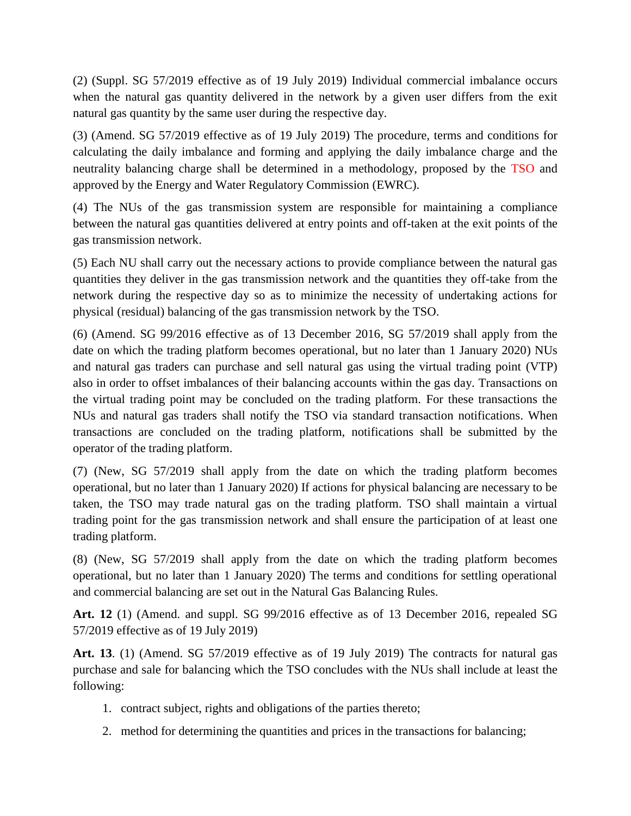(2) (Suppl. SG 57/2019 effective as of 19 July 2019) Individual commercial imbalance occurs when the natural gas quantity delivered in the network by a given user differs from the exit natural gas quantity by the same user during the respective day.

(3) (Amend. SG 57/2019 effective as of 19 July 2019) The procedure, terms and conditions for calculating the daily imbalance and forming and applying the daily imbalance charge and the neutrality balancing charge shall be determined in a methodology, proposed by the TSO and approved by the Energy and Water Regulatory Commission (EWRC).

(4) The NUs of the gas transmission system are responsible for maintaining a compliance between the natural gas quantities delivered at entry points and off-taken at the exit points of the gas transmission network.

(5) Each NU shall carry out the necessary actions to provide compliance between the natural gas quantities they deliver in the gas transmission network and the quantities they off-take from the network during the respective day so as to minimize the necessity of undertaking actions for physical (residual) balancing of the gas transmission network by the TSO.

(6) (Amend. SG 99/2016 effective as of 13 December 2016, SG 57/2019 shall apply from the date on which the trading platform becomes operational, but no later than 1 January 2020) NUs and natural gas traders can purchase and sell natural gas using the virtual trading point (VTP) also in order to offset imbalances of their balancing accounts within the gas day. Transactions on the virtual trading point may be concluded on the trading platform. For these transactions the NUs and natural gas traders shall notify the TSO via standard transaction notifications. When transactions are concluded on the trading platform, notifications shall be submitted by the operator of the trading platform.

(7) (New, SG 57/2019 shall apply from the date on which the trading platform becomes operational, but no later than 1 January 2020) If actions for physical balancing are necessary to be taken, the TSO may trade natural gas on the trading platform. TSO shall maintain a virtual trading point for the gas transmission network and shall ensure the participation of at least one trading platform.

(8) (New, SG 57/2019 shall apply from the date on which the trading platform becomes operational, but no later than 1 January 2020) The terms and conditions for settling operational and commercial balancing are set out in the Natural Gas Balancing Rules.

**Art. 12** (1) (Amend. and suppl. SG 99/2016 effective as of 13 December 2016, repealed SG 57/2019 effective as of 19 July 2019)

**Art. 13**. (1) (Amend. SG 57/2019 effective as of 19 July 2019) The contracts for natural gas purchase and sale for balancing which the TSO concludes with the NUs shall include at least the following:

- 1. contract subject, rights and obligations of the parties thereto;
- 2. method for determining the quantities and prices in the transactions for balancing;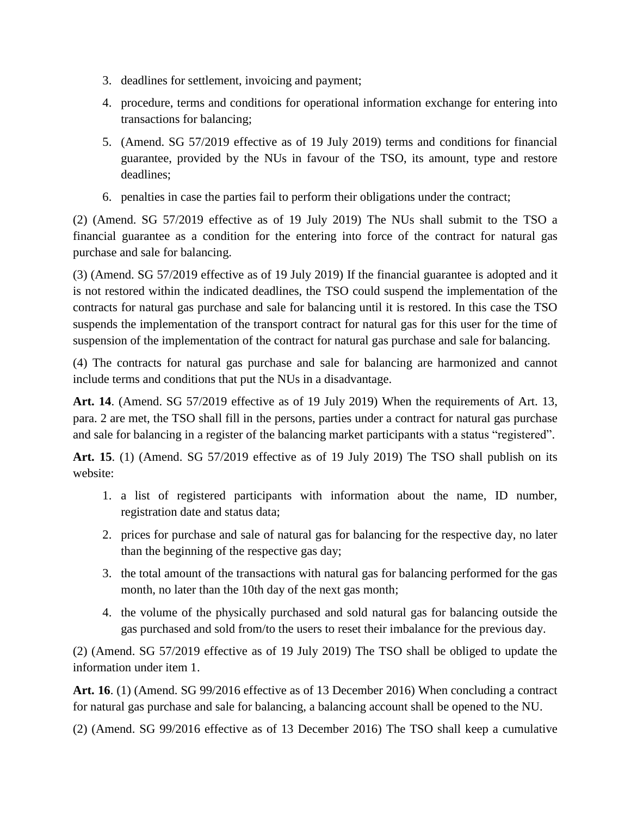- 3. deadlines for settlement, invoicing and payment;
- 4. procedure, terms and conditions for operational information exchange for entering into transactions for balancing;
- 5. (Amend. SG 57/2019 effective as of 19 July 2019) terms and conditions for financial guarantee, provided by the NUs in favour of the TSO, its amount, type and restore deadlines;
- 6. penalties in case the parties fail to perform their obligations under the contract;

(2) (Amend. SG 57/2019 effective as of 19 July 2019) The NUs shall submit to the TSO a financial guarantee as a condition for the entering into force of the contract for natural gas purchase and sale for balancing.

(3) (Amend. SG 57/2019 effective as of 19 July 2019) If the financial guarantee is adopted and it is not restored within the indicated deadlines, the TSO could suspend the implementation of the contracts for natural gas purchase and sale for balancing until it is restored. In this case the TSO suspends the implementation of the transport contract for natural gas for this user for the time of suspension of the implementation of the contract for natural gas purchase and sale for balancing.

(4) The contracts for natural gas purchase and sale for balancing are harmonized and cannot include terms and conditions that put the NUs in a disadvantage.

**Art. 14**. (Amend. SG 57/2019 effective as of 19 July 2019) When the requirements of Art. 13, para. 2 are met, the TSO shall fill in the persons, parties under a contract for natural gas purchase and sale for balancing in a register of the balancing market participants with a status "registered".

**Art. 15**. (1) (Amend. SG 57/2019 effective as of 19 July 2019) The TSO shall publish on its website:

- 1. a list of registered participants with information about the name, ID number, registration date and status data;
- 2. prices for purchase and sale of natural gas for balancing for the respective day, no later than the beginning of the respective gas day;
- 3. the total amount of the transactions with natural gas for balancing performed for the gas month, no later than the 10th day of the next gas month;
- 4. the volume of the physically purchased and sold natural gas for balancing outside the gas purchased and sold from/to the users to reset their imbalance for the previous day.

(2) (Amend. SG 57/2019 effective as of 19 July 2019) The TSO shall be obliged to update the information under item 1.

**Art. 16**. (1) (Amend. SG 99/2016 effective as of 13 December 2016) When concluding a contract for natural gas purchase and sale for balancing, a balancing account shall be opened to the NU.

(2) (Amend. SG 99/2016 effective as of 13 December 2016) The TSO shall keep a cumulative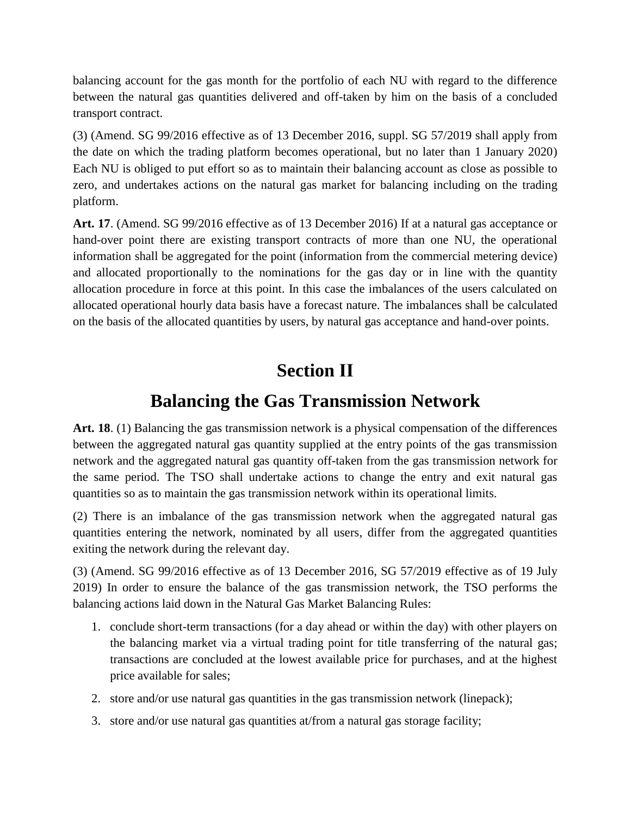balancing account for the gas month for the portfolio of each NU with regard to the difference between the natural gas quantities delivered and off-taken by him on the basis of a concluded transport contract.

(3) (Amend. SG 99/2016 effective as of 13 December 2016, suppl. SG 57/2019 shall apply from the date on which the trading platform becomes operational, but no later than 1 January 2020) Each NU is obliged to put effort so as to maintain their balancing account as close as possible to zero, and undertakes actions on the natural gas market for balancing including on the trading platform.

**Art. 17**. (Amend. SG 99/2016 effective as of 13 December 2016) If at a natural gas acceptance or hand-over point there are existing transport contracts of more than one NU, the operational information shall be aggregated for the point (information from the commercial metering device) and allocated proportionally to the nominations for the gas day or in line with the quantity allocation procedure in force at this point. In this case the imbalances of the users calculated on allocated operational hourly data basis have a forecast nature. The imbalances shall be calculated on the basis of the allocated quantities by users, by natural gas acceptance and hand-over points.

### **Section ІI**

### **Balancing the Gas Transmission Network**

**Art. 18**. (1) Balancing the gas transmission network is a physical compensation of the differences between the aggregated natural gas quantity supplied at the entry points of the gas transmission network and the aggregated natural gas quantity off-taken from the gas transmission network for the same period. The TSO shall undertake actions to change the entry and exit natural gas quantities so as to maintain the gas transmission network within its operational limits.

(2) There is an imbalance of the gas transmission network when the aggregated natural gas quantities entering the network, nominated by all users, differ from the aggregated quantities exiting the network during the relevant day.

(3) (Amend. SG 99/2016 effective as of 13 December 2016, SG 57/2019 effective as of 19 July 2019) In order to ensure the balance of the gas transmission network, the TSO performs the balancing actions laid down in the Natural Gas Market Balancing Rules:

- 1. conclude short-term transactions (for a day ahead or within the day) with other players on the balancing market via a virtual trading point for title transferring of the natural gas; transactions are concluded at the lowest available price for purchases, and at the highest price available for sales;
- 2. store and/or use natural gas quantities in the gas transmission network (linepack);
- 3. store and/or use natural gas quantities at/from a natural gas storage facility;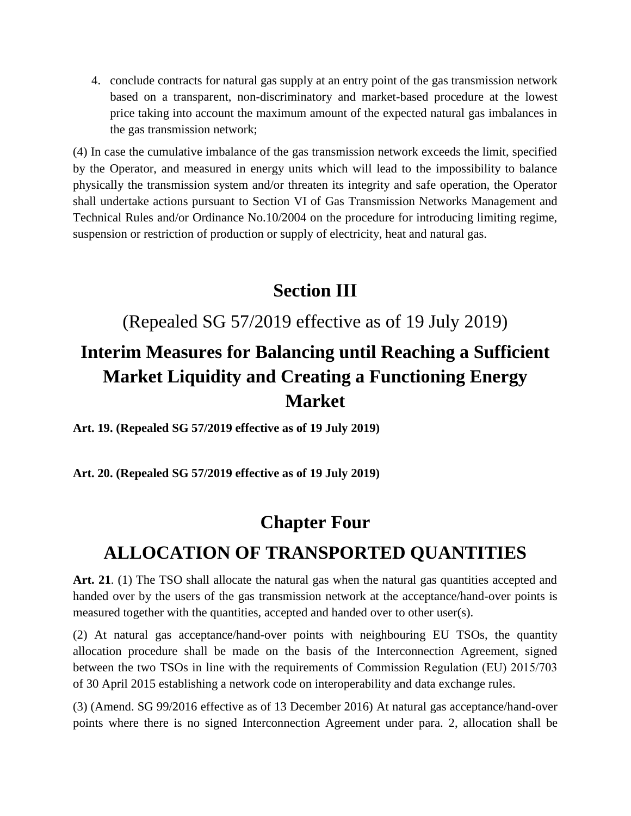4. conclude contracts for natural gas supply at an entry point of the gas transmission network based on a transparent, non-discriminatory and market-based procedure at the lowest price taking into account the maximum amount of the expected natural gas imbalances in the gas transmission network;

(4) In case the cumulative imbalance of the gas transmission network exceeds the limit, specified by the Operator, and measured in energy units which will lead to the impossibility to balance physically the transmission system and/or threaten its integrity and safe operation, the Operator shall undertake actions pursuant to Section VI of Gas Transmission Networks Management and Technical Rules and/or Ordinance No.10/2004 on the procedure for introducing limiting regime, suspension or restriction of production or supply of electricity, heat and natural gas.

#### **Section ІII**

(Repealed SG 57/2019 effective as of 19 July 2019)

# **Interim Measures for Balancing until Reaching a Sufficient Market Liquidity and Creating a Functioning Energy Market**

**Art. 19. (Repealed SG 57/2019 effective as of 19 July 2019)**

**Art. 20. (Repealed SG 57/2019 effective as of 19 July 2019)**

### **Chapter Four**

### **ALLOCATION OF TRANSPORTED QUANTITIES**

Art. 21. (1) The TSO shall allocate the natural gas when the natural gas quantities accepted and handed over by the users of the gas transmission network at the acceptance/hand-over points is measured together with the quantities, accepted and handed over to other user(s).

(2) At natural gas acceptance/hand-over points with neighbouring EU TSOs, the quantity allocation procedure shall be made on the basis of the Interconnection Agreement, signed between the two TSOs in line with the requirements of Commission Regulation (ЕU) 2015/703 of 30 April 2015 establishing a network code on interoperability and data exchange rules.

(3) (Amend. SG 99/2016 effective as of 13 December 2016) At natural gas acceptance/hand-over points where there is no signed Interconnection Agreement under para. 2, allocation shall be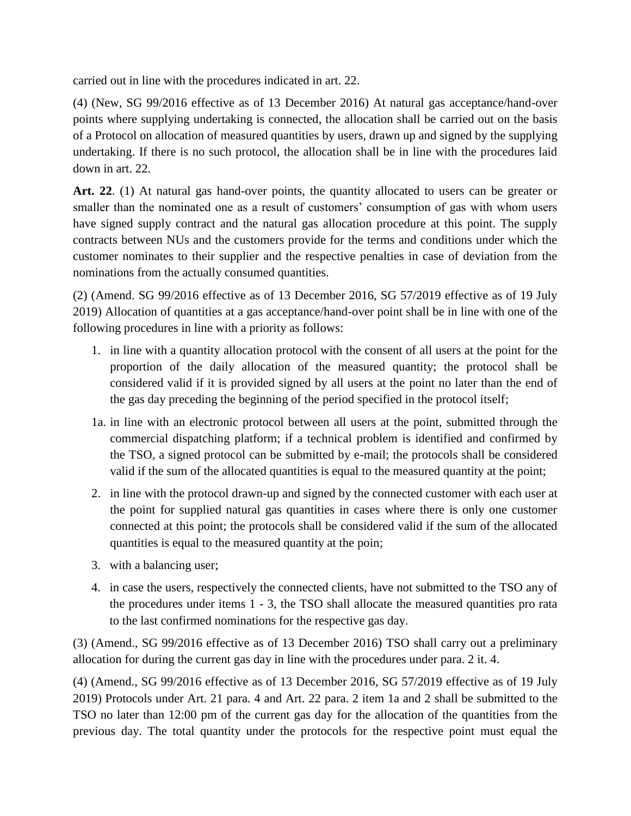carried out in line with the procedures indicated in art. 22.

(4) (New, SG 99/2016 effective as of 13 December 2016) At natural gas acceptance/hand-over points where supplying undertaking is connected, the allocation shall be carried out on the basis of a Protocol on allocation of measured quantities by users, drawn up and signed by the supplying undertaking. If there is no such protocol, the allocation shall be in line with the procedures laid down in art. 22.

Art. 22. (1) At natural gas hand-over points, the quantity allocated to users can be greater or smaller than the nominated one as a result of customers' consumption of gas with whom users have signed supply contract and the natural gas allocation procedure at this point. The supply contracts between NUs and the customers provide for the terms and conditions under which the customer nominates to their supplier and the respective penalties in case of deviation from the nominations from the actually consumed quantities.

(2) (Amend. SG 99/2016 effective as of 13 December 2016, SG 57/2019 effective as of 19 July 2019) Allocation of quantities at a gas acceptance/hand-over point shall be in line with one of the following procedures in line with a priority as follows:

- 1. in line with a quantity allocation protocol with the consent of all users at the point for the proportion of the daily allocation of the measured quantity; the protocol shall be considered valid if it is provided signed by all users at the point no later than the end of the gas day preceding the beginning of the period specified in the protocol itself;
- 1a. in line with an electronic protocol between all users at the point, submitted through the commercial dispatching platform; if a technical problem is identified and confirmed by the TSO, a signed protocol can be submitted by e-mail; the protocols shall be considered valid if the sum of the allocated quantities is equal to the measured quantity at the point;
- 2. in line with the protocol drawn-up and signed by the connected customer with each user at the point for supplied natural gas quantities in cases where there is only one customer connected at this point; the protocols shall be considered valid if the sum of the allocated quantities is equal to the measured quantity at the poin;
- 3. with a balancing user;
- 4. in case the users, respectively the connected clients, have not submitted to the TSO any of the procedures under items 1 - 3, the TSO shall allocate the measured quantities pro rata to the last confirmed nominations for the respective gas day.

(3) (Amend., SG 99/2016 effective as of 13 December 2016) TSO shall carry out a preliminary allocation for during the current gas day in line with the procedures under para. 2 it. 4.

(4) (Amend., SG 99/2016 effective as of 13 December 2016, SG 57/2019 effective as of 19 July 2019) Protocols under Art. 21 para. 4 and Art. 22 para. 2 item 1a and 2 shall be submitted to the TSO no later than 12:00 pm of the current gas day for the allocation of the quantities from the previous day. The total quantity under the protocols for the respective point must equal the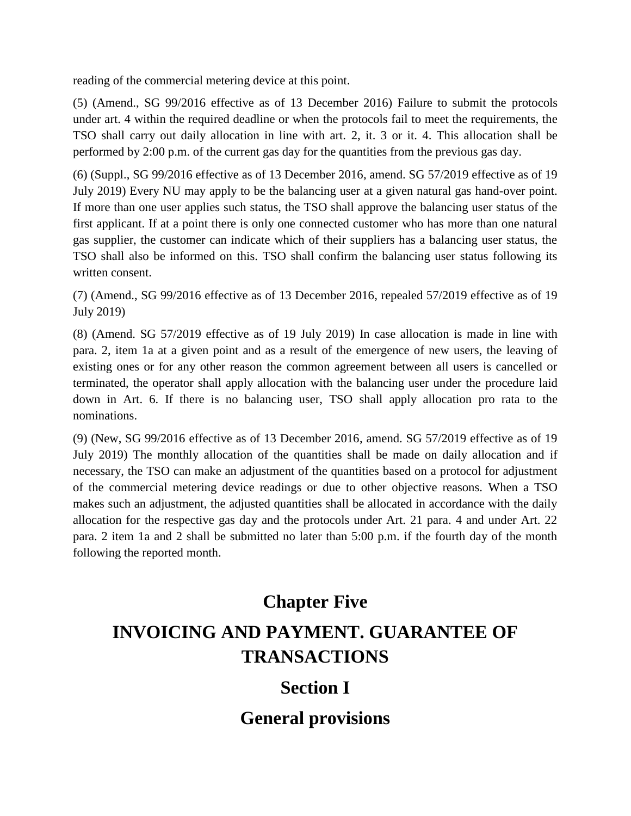reading of the commercial metering device at this point.

(5) (Amend., SG 99/2016 effective as of 13 December 2016) Failure to submit the protocols under art. 4 within the required deadline or when the protocols fail to meet the requirements, the TSO shall carry out daily allocation in line with art. 2, it. 3 or it. 4. This allocation shall be performed by 2:00 p.m. of the current gas day for the quantities from the previous gas day.

(6) (Suppl., SG 99/2016 effective as of 13 December 2016, amend. SG 57/2019 effective as of 19 July 2019) Every NU may apply to be the balancing user at a given natural gas hand-over point. If more than one user applies such status, the TSO shall approve the balancing user status of the first applicant. If at a point there is only one connected customer who has more than one natural gas supplier, the customer can indicate which of their suppliers has a balancing user status, the TSO shall also be informed on this. TSO shall confirm the balancing user status following its written consent.

(7) (Amend., SG 99/2016 effective as of 13 December 2016, repealed 57/2019 effective as of 19 July 2019)

(8) (Amend. SG 57/2019 effective as of 19 July 2019) In case allocation is made in line with para. 2, item 1a at a given point and as a result of the emergence of new users, the leaving of existing ones or for any other reason the common agreement between all users is cancelled or terminated, the operator shall apply allocation with the balancing user under the procedure laid down in Art. 6. If there is no balancing user, TSO shall apply allocation pro rata to the nominations.

(9) (New, SG 99/2016 effective as of 13 December 2016, amend. SG 57/2019 effective as of 19 July 2019) The monthly allocation of the quantities shall be made on daily allocation and if necessary, the TSO can make an adjustment of the quantities based on a protocol for adjustment of the commercial metering device readings or due to other objective reasons. When a TSO makes such an adjustment, the adjusted quantities shall be allocated in accordance with the daily allocation for the respective gas day and the protocols under Art. 21 para. 4 and under Art. 22 para. 2 item 1a and 2 shall be submitted no later than 5:00 p.m. if the fourth day of the month following the reported month.

# **Chapter Five INVOICING AND PAYMENT. GUARANTEE OF TRANSACTIONS**

### **Section I**

**General provisions**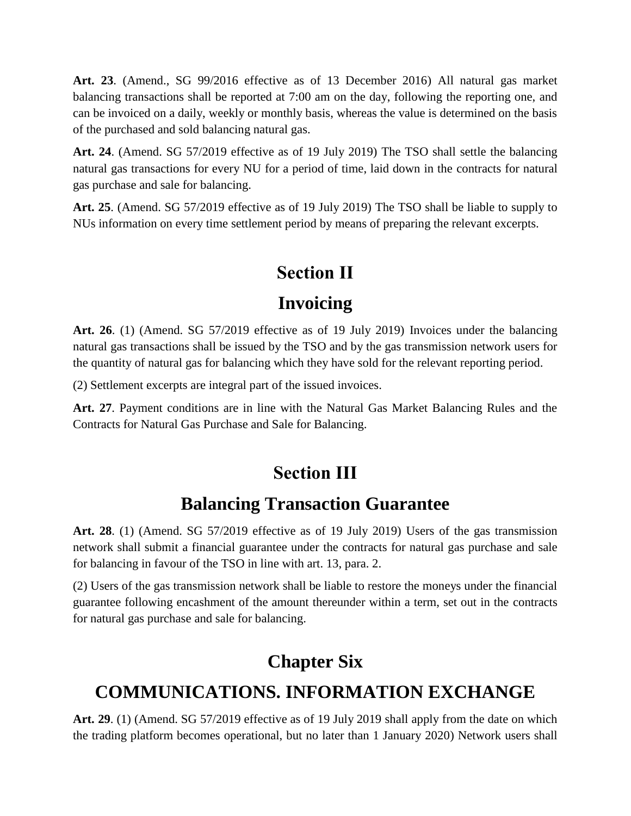**Art. 23**. (Amend., SG 99/2016 effective as of 13 December 2016) All natural gas market balancing transactions shall be reported at 7:00 am on the day, following the reporting one, and can be invoiced on a daily, weekly or monthly basis, whereas the value is determined on the basis of the purchased and sold balancing natural gas.

**Art. 24**. (Amend. SG 57/2019 effective as of 19 July 2019) The TSO shall settle the balancing natural gas transactions for every NU for a period of time, laid down in the contracts for natural gas purchase and sale for balancing.

**Art. 25**. (Amend. SG 57/2019 effective as of 19 July 2019) The TSO shall be liable to supply to NUs information on every time settlement period by means of preparing the relevant excerpts.

# **Section ІІ**

### **Invoicing**

**Art. 26**. (1) (Amend. SG 57/2019 effective as of 19 July 2019) Invoices under the balancing natural gas transactions shall be issued by the TSO and by the gas transmission network users for the quantity of natural gas for balancing which they have sold for the relevant reporting period.

(2) Settlement excerpts are integral part of the issued invoices.

**Art. 27**. Payment conditions are in line with the Natural Gas Market Balancing Rules and the Contracts for Natural Gas Purchase and Sale for Balancing.

# **Section IІІ**

### **Balancing Transaction Guarantee**

**Art. 28**. (1) (Amend. SG 57/2019 effective as of 19 July 2019) Users of the gas transmission network shall submit a financial guarantee under the contracts for natural gas purchase and sale for balancing in favour of the TSO in line with art. 13, para. 2.

(2) Users of the gas transmission network shall be liable to restore the moneys under the financial guarantee following encashment of the amount thereunder within a term, set out in the contracts for natural gas purchase and sale for balancing.

# **Chapter Six**

# **COMMUNICATIONS. INFORMATION EXCHANGE**

**Art. 29**. (1) (Amend. SG 57/2019 effective as of 19 July 2019 shall apply from the date on which the trading platform becomes operational, but no later than 1 January 2020) Network users shall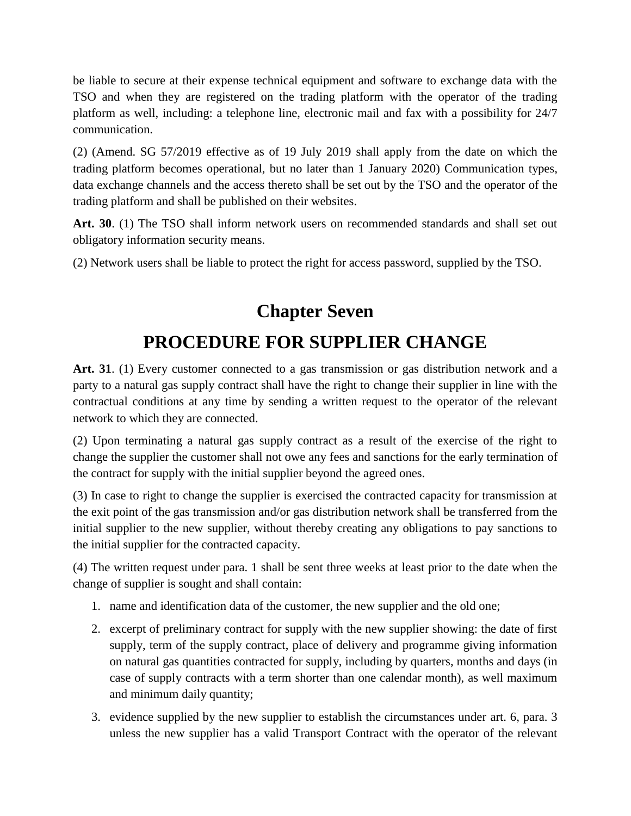be liable to secure at their expense technical equipment and software to exchange data with the TSO and when they are registered on the trading platform with the operator of the trading platform as well, including: a telephone line, electronic mail and fax with a possibility for 24/7 communication.

(2) (Amend. SG 57/2019 effective as of 19 July 2019 shall apply from the date on which the trading platform becomes operational, but no later than 1 January 2020) Communication types, data exchange channels and the access thereto shall be set out by the TSO and the operator of the trading platform and shall be published on their websites.

**Art. 30**. (1) The TSO shall inform network users on recommended standards and shall set out obligatory information security means.

(2) Network users shall be liable to protect the right for access password, supplied by the TSO.

### **Chapter Seven**

# **PROCEDURE FOR SUPPLIER CHANGE**

**Art. 31**. (1) Every customer connected to a gas transmission or gas distribution network and a party to a natural gas supply contract shall have the right to change their supplier in line with the contractual conditions at any time by sending a written request to the operator of the relevant network to which they are connected.

(2) Upon terminating a natural gas supply contract as a result of the exercise of the right to change the supplier the customer shall not owe any fees and sanctions for the early termination of the contract for supply with the initial supplier beyond the agreed ones.

(3) In case to right to change the supplier is exercised the contracted capacity for transmission at the exit point of the gas transmission and/or gas distribution network shall be transferred from the initial supplier to the new supplier, without thereby creating any obligations to pay sanctions to the initial supplier for the contracted capacity.

(4) The written request under para. 1 shall be sent three weeks at least prior to the date when the change of supplier is sought and shall contain:

- 1. name and identification data of the customer, the new supplier and the old one;
- 2. excerpt of preliminary contract for supply with the new supplier showing: the date of first supply, term of the supply contract, place of delivery and programme giving information on natural gas quantities contracted for supply, including by quarters, months and days (in case of supply contracts with a term shorter than one calendar month), as well maximum and minimum daily quantity;
- 3. evidence supplied by the new supplier to establish the circumstances under art. 6, para. 3 unless the new supplier has a valid Transport Contract with the operator of the relevant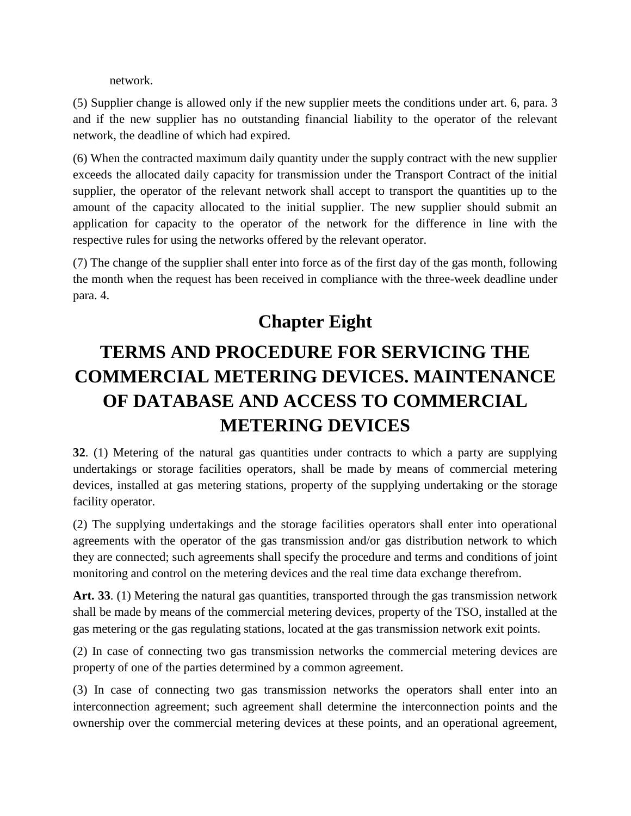network.

(5) Supplier change is allowed only if the new supplier meets the conditions under art. 6, para. 3 and if the new supplier has no outstanding financial liability to the operator of the relevant network, the deadline of which had expired.

(6) When the contracted maximum daily quantity under the supply contract with the new supplier exceeds the allocated daily capacity for transmission under the Transport Contract of the initial supplier, the operator of the relevant network shall accept to transport the quantities up to the amount of the capacity allocated to the initial supplier. The new supplier should submit an application for capacity to the operator of the network for the difference in line with the respective rules for using the networks offered by the relevant operator.

(7) The change of the supplier shall enter into force as of the first day of the gas month, following the month when the request has been received in compliance with the three-week deadline under para. 4.

## **Chapter Eight**

# **TERMS AND PROCEDURE FOR SERVICING THE COMMERCIAL METERING DEVICES. MAINTENANCE OF DATABASE AND ACCESS TO COMMERCIAL METERING DEVICES**

**32**. (1) Metering of the natural gas quantities under contracts to which a party are supplying undertakings or storage facilities operators, shall be made by means of commercial metering devices, installed at gas metering stations, property of the supplying undertaking or the storage facility operator.

(2) The supplying undertakings and the storage facilities operators shall enter into operational agreements with the operator of the gas transmission and/or gas distribution network to which they are connected; such agreements shall specify the procedure and terms and conditions of joint monitoring and control on the metering devices and the real time data exchange therefrom.

**Art. 33**. (1) Metering the natural gas quantities, transported through the gas transmission network shall be made by means of the commercial metering devices, property of the TSO, installed at the gas metering or the gas regulating stations, located at the gas transmission network exit points.

(2) In case of connecting two gas transmission networks the commercial metering devices are property of one of the parties determined by a common agreement.

(3) In case of connecting two gas transmission networks the operators shall enter into an interconnection agreement; such agreement shall determine the interconnection points and the ownership over the commercial metering devices at these points, and an operational agreement,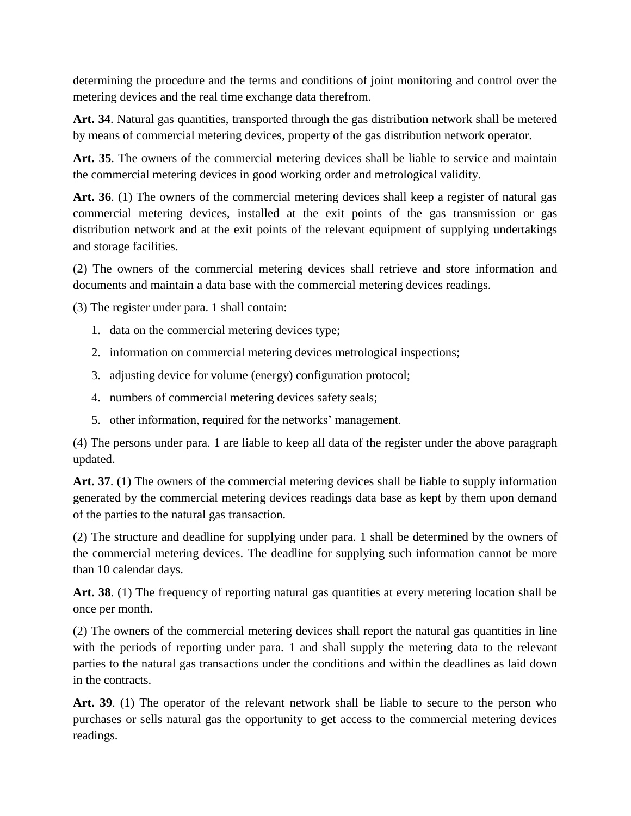determining the procedure and the terms and conditions of joint monitoring and control over the metering devices and the real time exchange data therefrom.

**Art. 34**. Natural gas quantities, transported through the gas distribution network shall be metered by means of commercial metering devices, property of the gas distribution network operator.

**Art. 35**. The owners of the commercial metering devices shall be liable to service and maintain the commercial metering devices in good working order and metrological validity.

**Art. 36**. (1) The owners of the commercial metering devices shall keep a register of natural gas commercial metering devices, installed at the exit points of the gas transmission or gas distribution network and at the exit points of the relevant equipment of supplying undertakings and storage facilities.

(2) The owners of the commercial metering devices shall retrieve and store information and documents and maintain a data base with the commercial metering devices readings.

(3) The register under para. 1 shall contain:

- 1. data on the commercial metering devices type;
- 2. information on commercial metering devices metrological inspections;
- 3. adjusting device for volume (energy) configuration protocol;
- 4. numbers of commercial metering devices safety seals;
- 5. other information, required for the networks' management.

(4) The persons under para. 1 are liable to keep all data of the register under the above paragraph updated.

**Art. 37**. (1) The owners of the commercial metering devices shall be liable to supply information generated by the commercial metering devices readings data base as kept by them upon demand of the parties to the natural gas transaction.

(2) The structure and deadline for supplying under para. 1 shall be determined by the owners of the commercial metering devices. The deadline for supplying such information cannot be more than 10 calendar days.

**Art. 38**. (1) The frequency of reporting natural gas quantities at every metering location shall be once per month.

(2) The owners of the commercial metering devices shall report the natural gas quantities in line with the periods of reporting under para. 1 and shall supply the metering data to the relevant parties to the natural gas transactions under the conditions and within the deadlines as laid down in the contracts.

**Art. 39**. (1) The operator of the relevant network shall be liable to secure to the person who purchases or sells natural gas the opportunity to get access to the commercial metering devices readings.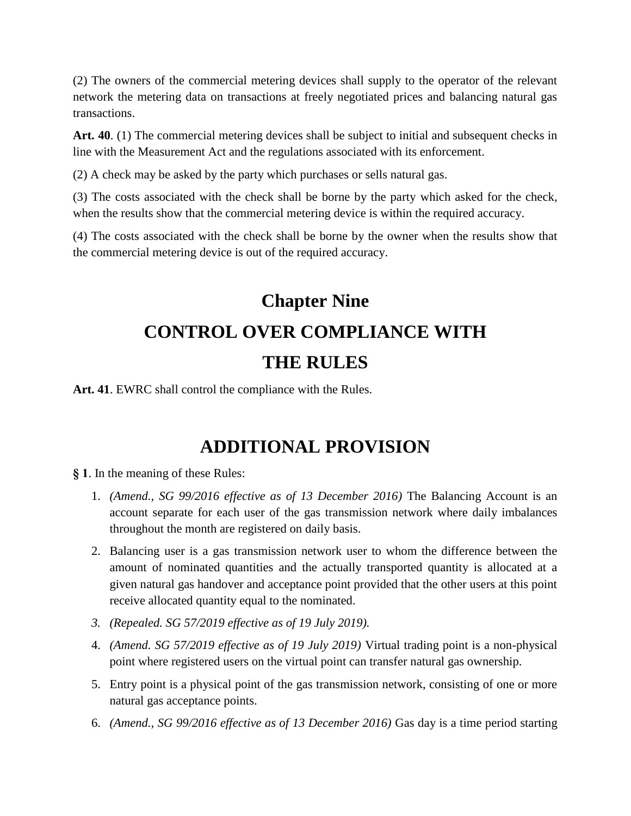(2) The owners of the commercial metering devices shall supply to the operator of the relevant network the metering data on transactions at freely negotiated prices and balancing natural gas transactions.

**Art. 40**. (1) The commercial metering devices shall be subject to initial and subsequent checks in line with the Measurement Act and the regulations associated with its enforcement.

(2) A check may be asked by the party which purchases or sells natural gas.

(3) The costs associated with the check shall be borne by the party which asked for the check, when the results show that the commercial metering device is within the required accuracy.

(4) The costs associated with the check shall be borne by the owner when the results show that the commercial metering device is out of the required accuracy.

# **Chapter Nine CONTROL OVER COMPLIANCE WITH THE RULES**

**Art. 41**. EWRC shall control the compliance with the Rules.

### **ADDITIONAL PROVISION**

**§ 1**. In the meaning of these Rules:

- 1. *(Amend., SG 99/2016 effective as of 13 December 2016)* The Balancing Account is an account separate for each user of the gas transmission network where daily imbalances throughout the month are registered on daily basis.
- 2. Balancing user is a gas transmission network user to whom the difference between the amount of nominated quantities and the actually transported quantity is allocated at a given natural gas handover and acceptance point provided that the other users at this point receive allocated quantity equal to the nominated.
- *3. (Repealed. SG 57/2019 effective as of 19 July 2019).*
- 4. *(Amend. SG 57/2019 effective as of 19 July 2019)* Virtual trading point is a non-physical point where registered users on the virtual point can transfer natural gas ownership.
- 5. Entry point is a physical point of the gas transmission network, consisting of one or more natural gas acceptance points.
- 6. *(Amend., SG 99/2016 effective as of 13 December 2016)* Gas day is a time period starting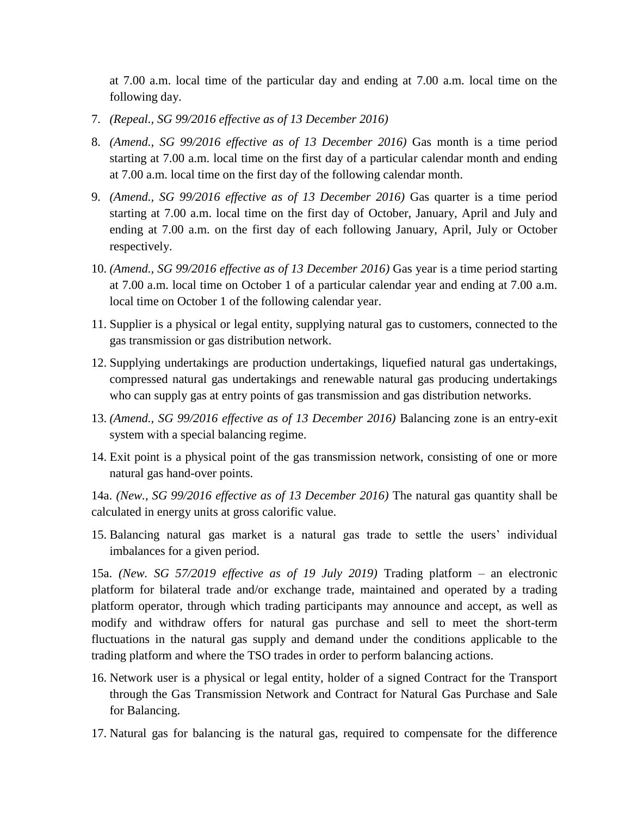at 7.00 a.m. local time of the particular day and ending at 7.00 a.m. local time on the following day.

- 7. *(Repeal., SG 99/2016 effective as of 13 December 2016)*
- 8. *(Amend., SG 99/2016 effective as of 13 December 2016)* Gas month is a time period starting at 7.00 a.m. local time on the first day of a particular calendar month and ending at 7.00 a.m. local time on the first day of the following calendar month.
- 9. *(Amend., SG 99/2016 effective as of 13 December 2016)* Gas quarter is a time period starting at 7.00 a.m. local time on the first day of October, January, April and July and ending at 7.00 a.m. on the first day of each following January, April, July or October respectively.
- 10. *(Amend., SG 99/2016 effective as of 13 December 2016)* Gas year is a time period starting at 7.00 a.m. local time on October 1 of a particular calendar year and ending at 7.00 a.m. local time on October 1 of the following calendar year.
- 11. Supplier is a physical or legal entity, supplying natural gas to customers, connected to the gas transmission or gas distribution network.
- 12. Supplying undertakings are production undertakings, liquefied natural gas undertakings, compressed natural gas undertakings and renewable natural gas producing undertakings who can supply gas at entry points of gas transmission and gas distribution networks.
- 13. *(Amend., SG 99/2016 effective as of 13 December 2016)* Balancing zone is an entry-exit system with a special balancing regime.
- 14. Exit point is a physical point of the gas transmission network, consisting of one or more natural gas hand-over points.

14a. *(New., SG 99/2016 effective as of 13 December 2016)* The natural gas quantity shall be calculated in energy units at gross calorific value.

15. Balancing natural gas market is a natural gas trade to settle the users' individual imbalances for a given period.

15a. *(New. SG 57/2019 effective as of 19 July 2019)* Trading platform – an electronic platform for bilateral trade and/or exchange trade, maintained and operated by a trading platform operator, through which trading participants may announce and accept, as well as modify and withdraw offers for natural gas purchase and sell to meet the short-term fluctuations in the natural gas supply and demand under the conditions applicable to the trading platform and where the TSO trades in order to perform balancing actions.

- 16. Network user is a physical or legal entity, holder of a signed Contract for the Transport through the Gas Transmission Network and Contract for Natural Gas Purchase and Sale for Balancing.
- 17. Natural gas for balancing is the natural gas, required to compensate for the difference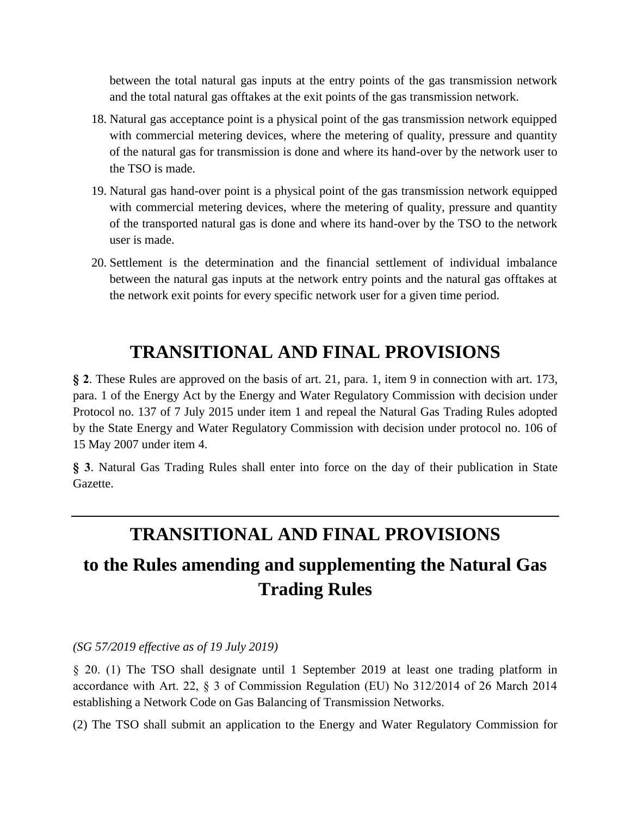between the total natural gas inputs at the entry points of the gas transmission network and the total natural gas offtakes at the exit points of the gas transmission network.

- 18. Natural gas acceptance point is a physical point of the gas transmission network equipped with commercial metering devices, where the metering of quality, pressure and quantity of the natural gas for transmission is done and where its hand-over by the network user to the TSO is made.
- 19. Natural gas hand-over point is a physical point of the gas transmission network equipped with commercial metering devices, where the metering of quality, pressure and quantity of the transported natural gas is done and where its hand-over by the TSO to the network user is made.
- 20. Settlement is the determination and the financial settlement of individual imbalance between the natural gas inputs at the network entry points and the natural gas offtakes at the network exit points for every specific network user for a given time period.

## **TRANSITIONAL AND FINAL PROVISIONS**

**§ 2**. These Rules are approved on the basis of art. 21, para. 1, item 9 in connection with art. 173, para. 1 of the Energy Act by the Energy and Water Regulatory Commission with decision under Protocol no. 137 of 7 July 2015 under item 1 and repeal the Natural Gas Trading Rules adopted by the State Energy and Water Regulatory Commission with decision under protocol no. 106 of 15 May 2007 under item 4.

**§ 3**. Natural Gas Trading Rules shall enter into force on the day of their publication in State Gazette.

### **TRANSITIONAL AND FINAL PROVISIONS**

## **to the Rules amending and supplementing the Natural Gas Trading Rules**

*(SG 57/2019 effective as of 19 July 2019)*

§ 20. (1) The TSO shall designate until 1 September 2019 at least one trading platform in accordance with Art. 22, § 3 of Commission Regulation (EU) No 312/2014 of 26 March 2014 establishing a Network Code on Gas Balancing of Transmission Networks.

(2) The TSO shall submit an application to the Energy and Water Regulatory Commission for